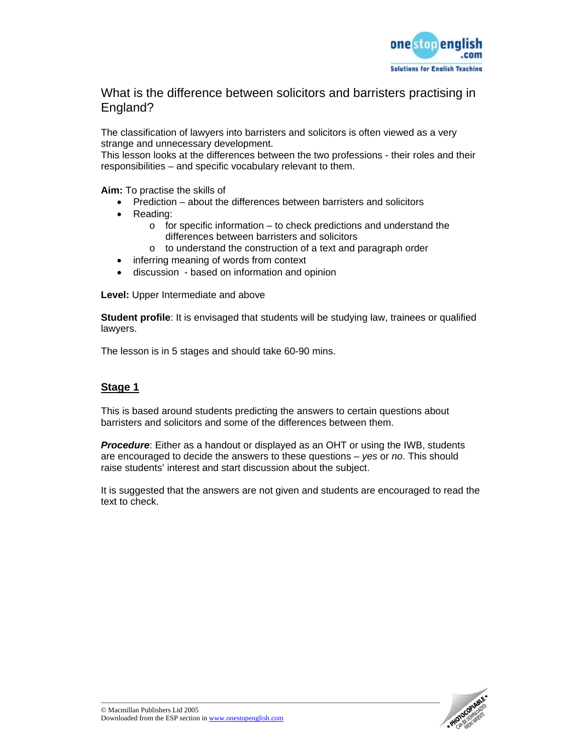

What is the difference between solicitors and barristers practising in England?

The classification of lawyers into barristers and solicitors is often viewed as a very strange and unnecessary development.

This lesson looks at the differences between the two professions - their roles and their responsibilities – and specific vocabulary relevant to them.

**Aim:** To practise the skills of

- Prediction about the differences between barristers and solicitors
- Reading:
	- $\circ$  for specific information to check predictions and understand the differences between barristers and solicitors
	- o to understand the construction of a text and paragraph order
- inferring meaning of words from context
- discussion based on information and opinion

**Level:** Upper Intermediate and above

**Student profile**: It is envisaged that students will be studying law, trainees or qualified lawyers.

The lesson is in 5 stages and should take 60-90 mins.

## **Stage 1**

This is based around students predicting the answers to certain questions about barristers and solicitors and some of the differences between them.

*Procedure*: Either as a handout or displayed as an OHT or using the IWB, students are encouraged to decide the answers to these questions – *yes* or *no*. This should raise students' interest and start discussion about the subject.

It is suggested that the answers are not given and students are encouraged to read the text to check.

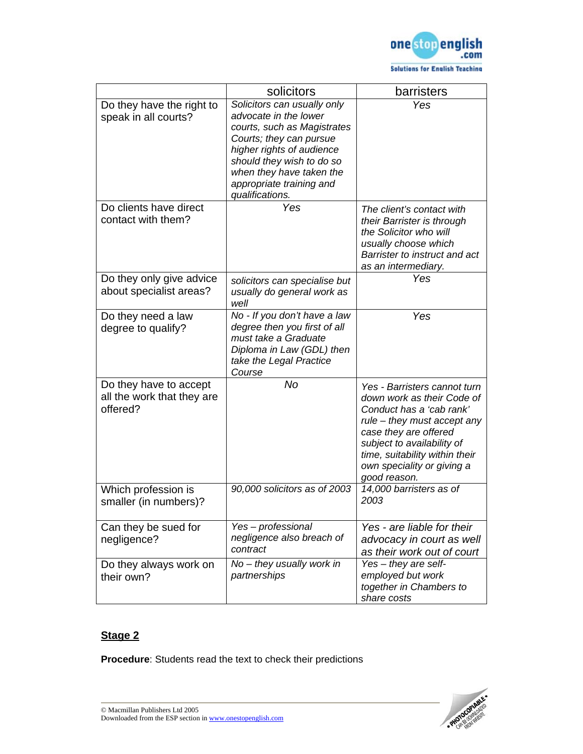

|                                                                  | solicitors                                                                                                                                                                                                                                          | barristers                                                                                                                                                                                                                                                   |
|------------------------------------------------------------------|-----------------------------------------------------------------------------------------------------------------------------------------------------------------------------------------------------------------------------------------------------|--------------------------------------------------------------------------------------------------------------------------------------------------------------------------------------------------------------------------------------------------------------|
| Do they have the right to<br>speak in all courts?                | Solicitors can usually only<br>advocate in the lower<br>courts, such as Magistrates<br>Courts; they can pursue<br>higher rights of audience<br>should they wish to do so<br>when they have taken the<br>appropriate training and<br>qualifications. | Yes                                                                                                                                                                                                                                                          |
| Do clients have direct<br>contact with them?                     | Yes                                                                                                                                                                                                                                                 | The client's contact with<br>their Barrister is through<br>the Solicitor who will<br>usually choose which<br>Barrister to instruct and act<br>as an intermediary.                                                                                            |
| Do they only give advice<br>about specialist areas?              | solicitors can specialise but<br>usually do general work as<br>well                                                                                                                                                                                 | Yes                                                                                                                                                                                                                                                          |
| Do they need a law<br>degree to qualify?                         | No - If you don't have a law<br>degree then you first of all<br>must take a Graduate<br>Diploma in Law (GDL) then<br>take the Legal Practice<br>Course                                                                                              | Yes                                                                                                                                                                                                                                                          |
| Do they have to accept<br>all the work that they are<br>offered? | No                                                                                                                                                                                                                                                  | Yes - Barristers cannot turn<br>down work as their Code of<br>Conduct has a 'cab rank'<br>rule – they must accept any<br>case they are offered<br>subject to availability of<br>time, suitability within their<br>own speciality or giving a<br>good reason. |
| Which profession is<br>smaller (in numbers)?                     | 90,000 solicitors as of 2003                                                                                                                                                                                                                        | 14,000 barristers as of<br>2003                                                                                                                                                                                                                              |
| Can they be sued for<br>negligence?                              | Yes-professional<br>negligence also breach of<br>contract                                                                                                                                                                                           | Yes - are liable for their<br>advocacy in court as well<br>as their work out of court                                                                                                                                                                        |
| Do they always work on<br>their own?                             | $No$ – they usually work in<br>partnerships                                                                                                                                                                                                         | $Yes - they are self-$<br>employed but work<br>together in Chambers to<br>share costs                                                                                                                                                                        |

# **Stage 2**

**Procedure**: Students read the text to check their predictions

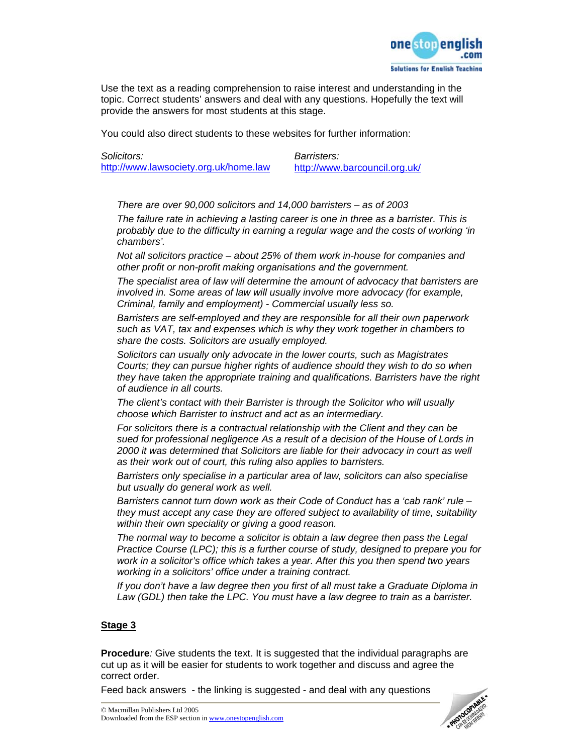

Use the text as a reading comprehension to raise interest and understanding in the topic. Correct students' answers and deal with any questions. Hopefully the text will provide the answers for most students at this stage.

You could also direct students to these websites for further information:

*Solicitors: Barristers:*  http://www.lawsociety.org.uk/home.law

*There are over 90,000 solicitors and 14,000 barristers – as of 2003* 

*The failure rate in achieving a lasting career is one in three as a barrister. This is probably due to the difficulty in earning a regular wage and the costs of working 'in chambers'.* 

*Not all solicitors practice – about 25% of them work in-house for companies and other profit or non-profit making organisations and the government.* 

*The specialist area of law will determine the amount of advocacy that barristers are involved in. Some areas of law will usually involve more advocacy (for example, Criminal, family and employment) - Commercial usually less so.* 

*Barristers are self-employed and they are responsible for all their own paperwork such as VAT, tax and expenses which is why they work together in chambers to share the costs. Solicitors are usually employed.* 

*Solicitors can usually only advocate in the lower courts, such as Magistrates Courts; they can pursue higher rights of audience should they wish to do so when they have taken the appropriate training and qualifications. Barristers have the right of audience in all courts.* 

*The client's contact with their Barrister is through the Solicitor who will usually choose which Barrister to instruct and act as an intermediary.* 

*For solicitors there is a contractual relationship with the Client and they can be sued for professional negligence As a result of a decision of the House of Lords in 2000 it was determined that Solicitors are liable for their advocacy in court as well as their work out of court, this ruling also applies to barristers.* 

*Barristers only specialise in a particular area of law, solicitors can also specialise but usually do general work as well.* 

*Barristers cannot turn down work as their Code of Conduct has a 'cab rank' rule – they must accept any case they are offered subject to availability of time, suitability within their own speciality or giving a good reason.* 

*The normal way to become a solicitor is obtain a law degree then pass the Legal Practice Course (LPC); this is a further course of study, designed to prepare you for work in a solicitor's office which takes a year. After this you then spend two years working in a solicitors' office under a training contract.* 

*If you don't have a law degree then you first of all must take a Graduate Diploma in*  Law (GDL) then take the LPC. You must have a law degree to train as a barrister.

#### **Stage 3**

**Procedure***:* Give students the text. It is suggested that the individual paragraphs are cut up as it will be easier for students to work together and discuss and agree the correct order.

Feed back answers - the linking is suggested - and deal with any questions

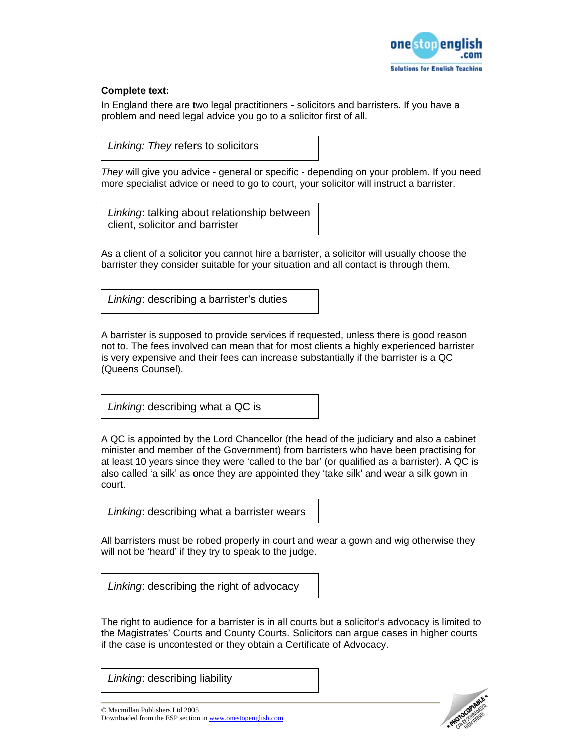

#### **Complete text:**

In England there are two legal practitioners - solicitors and barristers. If you have a problem and need legal advice you go to a solicitor first of all.

*Linking: They* refers to solicitors

*They* will give you advice - general or specific - depending on your problem. If you need more specialist advice or need to go to court, your solicitor will instruct a barrister.

*Linking*: talking about relationship between client, solicitor and barrister

As a client of a solicitor you cannot hire a barrister, a solicitor will usually choose the barrister they consider suitable for your situation and all contact is through them.

*Linking*: describing a barrister's duties

A barrister is supposed to provide services if requested, unless there is good reason not to. The fees involved can mean that for most clients a highly experienced barrister is very expensive and their fees can increase substantially if the barrister is a QC (Queens Counsel).

*Linking*: describing what a QC is

A QC is appointed by the Lord Chancellor (the head of the judiciary and also a cabinet minister and member of the Government) from barristers who have been practising for at least 10 years since they were 'called to the bar' (or qualified as a barrister). A QC is also called 'a silk' as once they are appointed they 'take silk' and wear a silk gown in court.

*Linking*: describing what a barrister wears

All barristers must be robed properly in court and wear a gown and wig otherwise they will not be 'heard' if they try to speak to the judge.

*Linking*: describing the right of advocacy

The right to audience for a barrister is in all courts but a solicitor's advocacy is limited to the Magistrates' Courts and County Courts. Solicitors can argue cases in higher courts if the case is uncontested or they obtain a Certificate of Advocacy.

*Linking*: describing liability



© Macmillan Publishers Ltd 2005 Downloaded from the ESP section in www.onestopenglish.com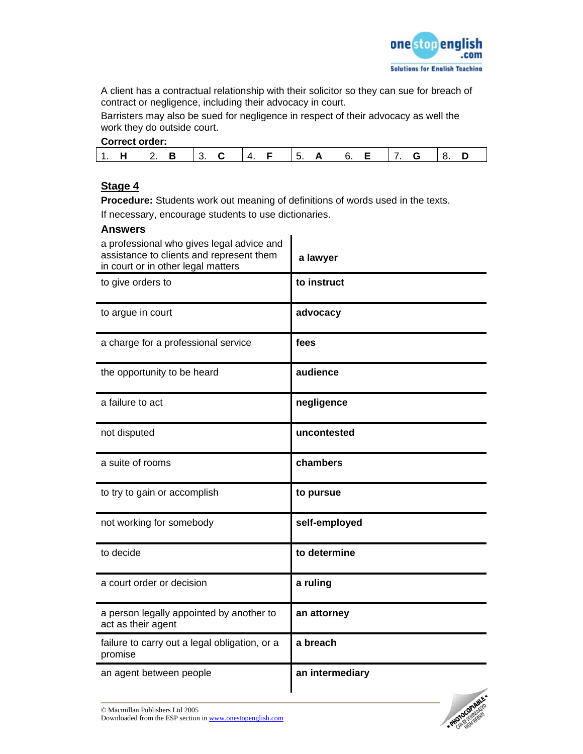

A client has a contractual relationship with their solicitor so they can sue for breach of contract or negligence, including their advocacy in court.

Barristers may also be sued for negligence in respect of their advocacy as well the work they do outside court.

|--|

|--|--|--|

### **Stage 4**

**Procedure:** Students work out meaning of definitions of words used in the texts. If necessary, encourage students to use dictionaries.

#### **Answers**

| a professional who gives legal advice and<br>assistance to clients and represent them<br>in court or in other legal matters | a lawyer        |
|-----------------------------------------------------------------------------------------------------------------------------|-----------------|
| to give orders to                                                                                                           | to instruct     |
| to argue in court                                                                                                           | advocacy        |
| a charge for a professional service                                                                                         | fees            |
| the opportunity to be heard                                                                                                 | audience        |
| a failure to act                                                                                                            | negligence      |
| not disputed                                                                                                                | uncontested     |
| a suite of rooms                                                                                                            | chambers        |
| to try to gain or accomplish                                                                                                | to pursue       |
| not working for somebody                                                                                                    | self-employed   |
| to decide                                                                                                                   | to determine    |
| a court order or decision                                                                                                   | a ruling        |
| a person legally appointed by another to<br>act as their agent                                                              | an attorney     |
| failure to carry out a legal obligation, or a<br>promise                                                                    | a breach        |
| an agent between people                                                                                                     | an intermediary |